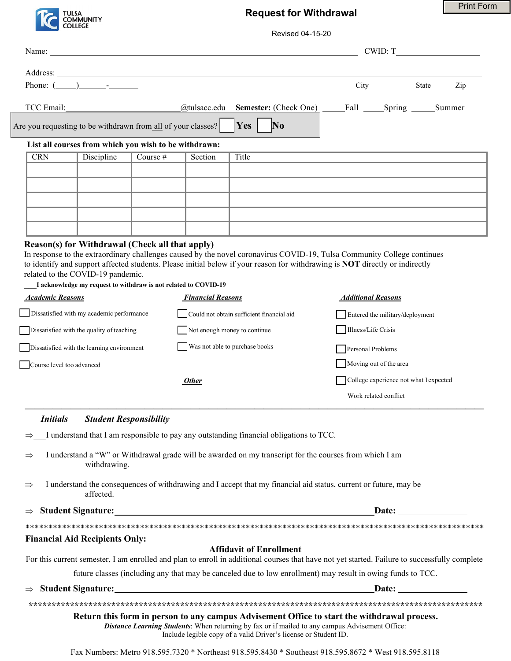

 $\overline{A}$ 

Name: Name and the set of the set of the set of the set of the set of the set of the set of the set of the set of the set of the set of the set of the set of the set of the set of the set of the set of the set of the set o

## **Request for Withdrawal**

| <b>Print Form</b> |  |
|-------------------|--|
|-------------------|--|

Revised 04-15-20

 $CWID: T$ 

| Phone: $($ ) -                                                                         |                                                                 |            |                          | City                                                                                                                                                                                                                                                              | State<br>Zip              |        |
|----------------------------------------------------------------------------------------|-----------------------------------------------------------------|------------|--------------------------|-------------------------------------------------------------------------------------------------------------------------------------------------------------------------------------------------------------------------------------------------------------------|---------------------------|--------|
| TCC Email:                                                                             |                                                                 |            | @tulsacc.edu             | <b>Semester:</b> (Check One)                                                                                                                                                                                                                                      | Fall                      | Summer |
|                                                                                        | re you requesting to be withdrawn from all of your classes?     |            |                          | <b>Yes</b><br>$\bf No$                                                                                                                                                                                                                                            |                           |        |
|                                                                                        | List all courses from which you wish to be withdrawn:           |            |                          |                                                                                                                                                                                                                                                                   |                           |        |
| CRN                                                                                    | Discipline                                                      | Course $#$ | Section                  | Title                                                                                                                                                                                                                                                             |                           |        |
|                                                                                        |                                                                 |            |                          |                                                                                                                                                                                                                                                                   |                           |        |
|                                                                                        |                                                                 |            |                          |                                                                                                                                                                                                                                                                   |                           |        |
|                                                                                        |                                                                 |            |                          |                                                                                                                                                                                                                                                                   |                           |        |
|                                                                                        |                                                                 |            |                          |                                                                                                                                                                                                                                                                   |                           |        |
|                                                                                        | Reason(s) for Withdrawal (Check all that apply)                 |            |                          |                                                                                                                                                                                                                                                                   |                           |        |
|                                                                                        |                                                                 |            |                          | In response to the extraordinary challenges caused by the novel coronavirus COVID-19, Tulsa Community College continues                                                                                                                                           |                           |        |
|                                                                                        | related to the COVID-19 pandemic.                               |            |                          | to identify and support affected students. Please initial below if your reason for withdrawing is NOT directly or indirectly                                                                                                                                      |                           |        |
|                                                                                        | I acknowledge my request to withdraw is not related to COVID-19 |            |                          |                                                                                                                                                                                                                                                                   |                           |        |
| <b>Academic Reasons</b>                                                                |                                                                 |            | <b>Financial Reasons</b> |                                                                                                                                                                                                                                                                   | <b>Additional Reasons</b> |        |
| Dissatisfied with my academic performance<br>Could not obtain sufficient financial aid |                                                                 |            |                          | Entered the military/deployment                                                                                                                                                                                                                                   |                           |        |
| Dissatisfied with the quality of teaching<br>Not enough money to continue              |                                                                 |            |                          | Illness/Life Crisis                                                                                                                                                                                                                                               |                           |        |
|                                                                                        | Dissatisfied with the learning environment                      |            |                          | Was not able to purchase books                                                                                                                                                                                                                                    | Personal Problems         |        |
| Course level too advanced<br><b>Other</b>                                              |                                                                 |            | Moving out of the area   |                                                                                                                                                                                                                                                                   |                           |        |
|                                                                                        |                                                                 |            |                          | College experience not what I expected                                                                                                                                                                                                                            |                           |        |
|                                                                                        |                                                                 |            |                          |                                                                                                                                                                                                                                                                   | Work related conflict     |        |
|                                                                                        |                                                                 |            |                          |                                                                                                                                                                                                                                                                   |                           |        |
| <b>Initials</b>                                                                        | <b>Student Responsibility</b>                                   |            |                          |                                                                                                                                                                                                                                                                   |                           |        |
|                                                                                        |                                                                 |            |                          | $\Rightarrow$ I understand that I am responsible to pay any outstanding financial obligations to TCC.                                                                                                                                                             |                           |        |
|                                                                                        | withdrawing.                                                    |            |                          | $\Rightarrow$ I understand a "W" or Withdrawal grade will be awarded on my transcript for the courses from which I am                                                                                                                                             |                           |        |
|                                                                                        | affected.                                                       |            |                          | $\Rightarrow$ I understand the consequences of withdrawing and I accept that my financial aid status, current or future, may be                                                                                                                                   |                           |        |
|                                                                                        |                                                                 |            |                          |                                                                                                                                                                                                                                                                   |                           |        |
|                                                                                        |                                                                 |            |                          |                                                                                                                                                                                                                                                                   |                           |        |
|                                                                                        | <b>Financial Aid Recipients Only:</b>                           |            |                          |                                                                                                                                                                                                                                                                   |                           |        |
|                                                                                        |                                                                 |            |                          | <b>Affidavit of Enrollment</b><br>For this current semester, I am enrolled and plan to enroll in additional courses that have not yet started. Failure to successfully complete                                                                                   |                           |        |
|                                                                                        |                                                                 |            |                          | future classes (including any that may be canceled due to low enrollment) may result in owing funds to TCC.                                                                                                                                                       |                           |        |
|                                                                                        |                                                                 |            |                          | $\Rightarrow$ Student Signature: Date: Date:                                                                                                                                                                                                                      |                           |        |
|                                                                                        |                                                                 |            |                          |                                                                                                                                                                                                                                                                   |                           |        |
|                                                                                        |                                                                 |            |                          | Return this form in person to any campus Advisement Office to start the withdrawal process.<br>Distance Learning Students: When returning by fax or if mailed to any campus Advisement Office:<br>Include legible copy of a valid Driver's license or Student ID. |                           |        |
|                                                                                        |                                                                 |            |                          | Fax Numbers: Metro 918.595.7320 * Northeast 918.595.8430 * Southeast 918.595.8672 * West 918.595.8118                                                                                                                                                             |                           |        |